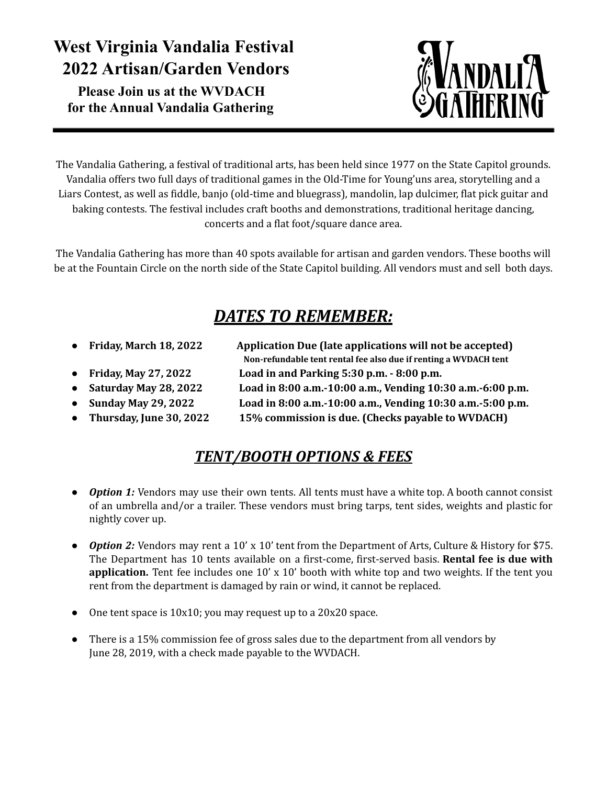# **West Virginia Vandalia Festival 2022 Artisan/Garden Vendors**

**Please Join us at the WVDACH for the Annual Vandalia Gathering**



The Vandalia Gathering, a festival of traditional arts, has been held since 1977 on the State Capitol grounds. Vandalia offers two full days of traditional games in the Old-Time for Young'uns area, storytelling and a Liars Contest, as well as fiddle, banjo (old-time and bluegrass), mandolin, lap dulcimer, flat pick guitar and baking contests. The festival includes craft booths and demonstrations, traditional heritage dancing, concerts and a flat foot/square dance area.

The Vandalia Gathering has more than 40 spots available for artisan and garden vendors. These booths will be at the Fountain Circle on the north side of the State Capitol building. All vendors must and sell both days.

# *DATES TO REMEMBER:*

- 
- 
- 
- 
- 
- **● Friday, March 18, 2022 Application Due (late applications will not be accepted) Non-refundable tent rental fee also due if renting a WVDACH tent**
- **● Friday, May 27, 2022 Load in and Parking 5:30 p.m. - 8:00 p.m.**
	-
- **● Saturday May 28, 2022 Load in 8:00 a.m.-10:00 a.m., Vending 10:30 a.m.-6:00 p.m.**
- **● Sunday May 29, 2022 Load in 8:00 a.m.-10:00 a.m., Vending 10:30 a.m.-5:00 p.m.**
- **● Thursday, June 30, 2022 15% commission is due. (Checks payable to WVDACH)**

#### *TENT/BOOTH OPTIONS & FEES*

- *Option 1:* Vendors may use their own tents. All tents must have a white top. A booth cannot consist of an umbrella and/or a trailer. These vendors must bring tarps, tent sides, weights and plastic for nightly cover up.
- *Option 2:* Vendors may rent a 10' x 10' tent from the Department of Arts, Culture & History for \$75. The Department has 10 tents available on a first-come, first-served basis. **Rental fee is due with application.** Tent fee includes one 10' x 10' booth with white top and two weights. If the tent you rent from the department is damaged by rain or wind, it cannot be replaced.
- One tent space is 10x10; you may request up to a 20x20 space.
- There is a 15% commission fee of gross sales due to the department from all vendors by June 28, 2019, with a check made payable to the WVDACH.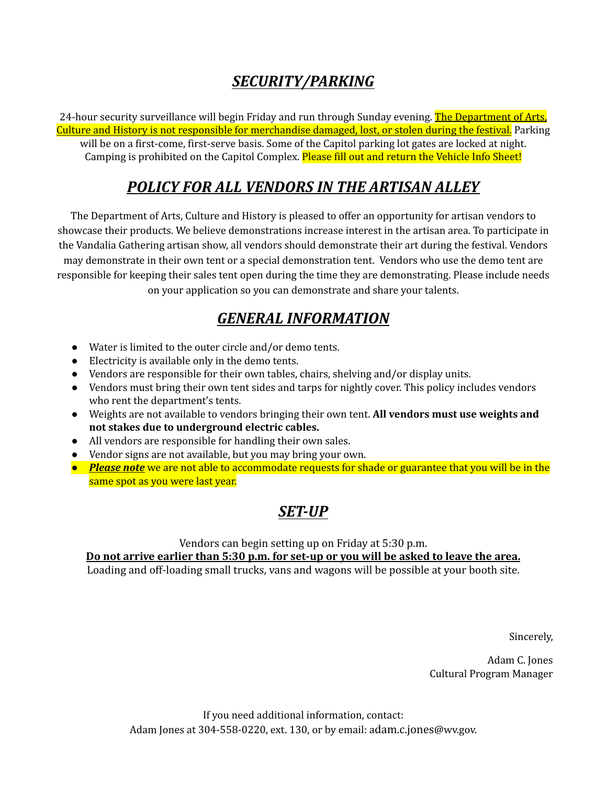#### *SECURITY/PARKING*

24-hour security surveillance will begin Friday and run through Sunday evening. The Department of Arts, Culture and History is not responsible for merchandise damaged, lost, or stolen during the festival. Parking will be on a first-come, first-serve basis. Some of the Capitol parking lot gates are locked at night. Camping is prohibited on the Capitol Complex. Please fill out and return the Vehicle Info Sheet!

#### *POLICY FOR ALL VENDORS IN THE ARTISAN ALLEY*

The Department of Arts, Culture and History is pleased to offer an opportunity for artisan vendors to showcase their products. We believe demonstrations increase interest in the artisan area. To participate in the Vandalia Gathering artisan show, all vendors should demonstrate their art during the festival. Vendors may demonstrate in their own tent or a special demonstration tent. Vendors who use the demo tent are responsible for keeping their sales tent open during the time they are demonstrating. Please include needs on your application so you can demonstrate and share your talents.

#### *GENERAL INFORMATION*

- Water is limited to the outer circle and/or demo tents.
- Electricity is available only in the demo tents.
- Vendors are responsible for their own tables, chairs, shelving and/or display units.
- Vendors must bring their own tent sides and tarps for nightly cover. This policy includes vendors who rent the department's tents.
- **●** Weights are not available to vendors bringing their own tent. **All vendors must use weights and not stakes due to underground electric cables.**
- All vendors are responsible for handling their own sales.
- Vendor signs are not available, but you may bring your own.
- *Please note* we are not able to accommodate requests for shade or guarantee that you will be in the same spot as you were last year.

## *SET-UP*

Vendors can begin setting up on Friday at 5:30 p.m.

**Do not arrive earlier than 5:30 p.m. for set-up or you will be asked to leave the area.** Loading and off-loading small trucks, vans and wagons will be possible at your booth site.

Sincerely,

Adam C. Jones Cultural Program Manager

If you need additional information, contact: Adam Jones at 304-558-0220, ext. 130, or by email: adam.c.jones@wv.gov.